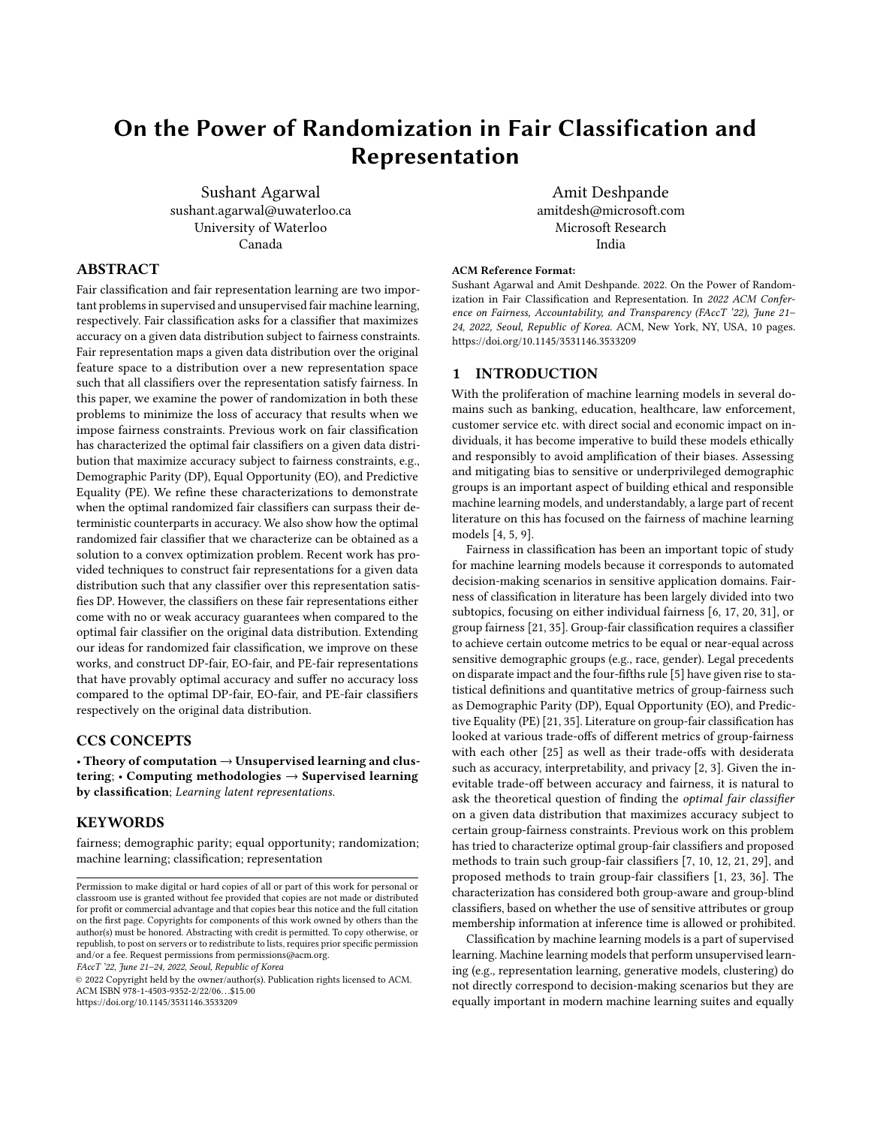# On the Power of Randomization in Fair Classification and Representation

Sushant Agarwal sushant.agarwal@uwaterloo.ca University of Waterloo Canada

## Amit Deshpande amitdesh@microsoft.com Microsoft Research India

# ABSTRACT

Fair classification and fair representation learning are two important problems in supervised and unsupervised fair machine learning, respectively. Fair classification asks for a classifier that maximizes accuracy on a given data distribution subject to fairness constraints. Fair representation maps a given data distribution over the original feature space to a distribution over a new representation space such that all classifiers over the representation satisfy fairness. In this paper, we examine the power of randomization in both these problems to minimize the loss of accuracy that results when we impose fairness constraints. Previous work on fair classification has characterized the optimal fair classifiers on a given data distribution that maximize accuracy subject to fairness constraints, e.g., Demographic Parity (DP), Equal Opportunity (EO), and Predictive Equality (PE). We refine these characterizations to demonstrate when the optimal randomized fair classifiers can surpass their deterministic counterparts in accuracy. We also show how the optimal randomized fair classifier that we characterize can be obtained as a solution to a convex optimization problem. Recent work has provided techniques to construct fair representations for a given data distribution such that any classifier over this representation satisfies DP. However, the classifiers on these fair representations either come with no or weak accuracy guarantees when compared to the optimal fair classifier on the original data distribution. Extending our ideas for randomized fair classification, we improve on these works, and construct DP-fair, EO-fair, and PE-fair representations that have provably optimal accuracy and suffer no accuracy loss compared to the optimal DP-fair, EO-fair, and PE-fair classifiers respectively on the original data distribution.

### CCS CONCEPTS

• Theory of computation  $\rightarrow$  Unsupervised learning and clustering; • Computing methodologies  $\rightarrow$  Supervised learning by classification; Learning latent representations.

### **KEYWORDS**

fairness; demographic parity; equal opportunity; randomization; machine learning; classification; representation

FAccT '22, June 21–24, 2022, Seoul, Republic of Korea

© 2022 Copyright held by the owner/author(s). Publication rights licensed to ACM. ACM ISBN 978-1-4503-9352-2/22/06. . .\$15.00 <https://doi.org/10.1145/3531146.3533209>

#### ACM Reference Format:

Sushant Agarwal and Amit Deshpande. 2022. On the Power of Randomization in Fair Classification and Representation. In 2022 ACM Conference on Fairness, Accountability, and Transparency (FAccT '22), June 21– 24, 2022, Seoul, Republic of Korea. ACM, New York, NY, USA, [10](#page-9-0) pages. <https://doi.org/10.1145/3531146.3533209>

### 1 INTRODUCTION

With the proliferation of machine learning models in several domains such as banking, education, healthcare, law enforcement, customer service etc. with direct social and economic impact on individuals, it has become imperative to build these models ethically and responsibly to avoid amplification of their biases. Assessing and mitigating bias to sensitive or underprivileged demographic groups is an important aspect of building ethical and responsible machine learning models, and understandably, a large part of recent literature on this has focused on the fairness of machine learning models [\[4,](#page-8-0) [5,](#page-8-1) [9\]](#page-8-2).

Fairness in classification has been an important topic of study for machine learning models because it corresponds to automated decision-making scenarios in sensitive application domains. Fairness of classification in literature has been largely divided into two subtopics, focusing on either individual fairness [\[6,](#page-8-3) [17,](#page-8-4) [20,](#page-8-5) [31\]](#page-9-1), or group fairness [\[21,](#page-8-6) [35\]](#page-9-2). Group-fair classification requires a classifier to achieve certain outcome metrics to be equal or near-equal across sensitive demographic groups (e.g., race, gender). Legal precedents on disparate impact and the four-fifths rule [\[5\]](#page-8-1) have given rise to statistical definitions and quantitative metrics of group-fairness such as Demographic Parity (DP), Equal Opportunity (EO), and Predictive Equality (PE) [\[21,](#page-8-6) [35\]](#page-9-2). Literature on group-fair classification has looked at various trade-offs of different metrics of group-fairness with each other [\[25\]](#page-8-7) as well as their trade-offs with desiderata such as accuracy, interpretability, and privacy [\[2,](#page-8-8) [3\]](#page-8-9). Given the inevitable trade-off between accuracy and fairness, it is natural to ask the theoretical question of finding the optimal fair classifier on a given data distribution that maximizes accuracy subject to certain group-fairness constraints. Previous work on this problem has tried to characterize optimal group-fair classifiers and proposed methods to train such group-fair classifiers [\[7,](#page-8-10) [10,](#page-8-11) [12,](#page-8-12) [21,](#page-8-6) [29\]](#page-9-3), and proposed methods to train group-fair classifiers [\[1,](#page-8-13) [23,](#page-8-14) [36\]](#page-9-4). The characterization has considered both group-aware and group-blind classifiers, based on whether the use of sensitive attributes or group membership information at inference time is allowed or prohibited.

Classification by machine learning models is a part of supervised learning. Machine learning models that perform unsupervised learning (e.g., representation learning, generative models, clustering) do not directly correspond to decision-making scenarios but they are equally important in modern machine learning suites and equally

Permission to make digital or hard copies of all or part of this work for personal or classroom use is granted without fee provided that copies are not made or distributed for profit or commercial advantage and that copies bear this notice and the full citation on the first page. Copyrights for components of this work owned by others than the author(s) must be honored. Abstracting with credit is permitted. To copy otherwise, or republish, to post on servers or to redistribute to lists, requires prior specific permission and/or a fee. Request permissions from permissions@acm.org.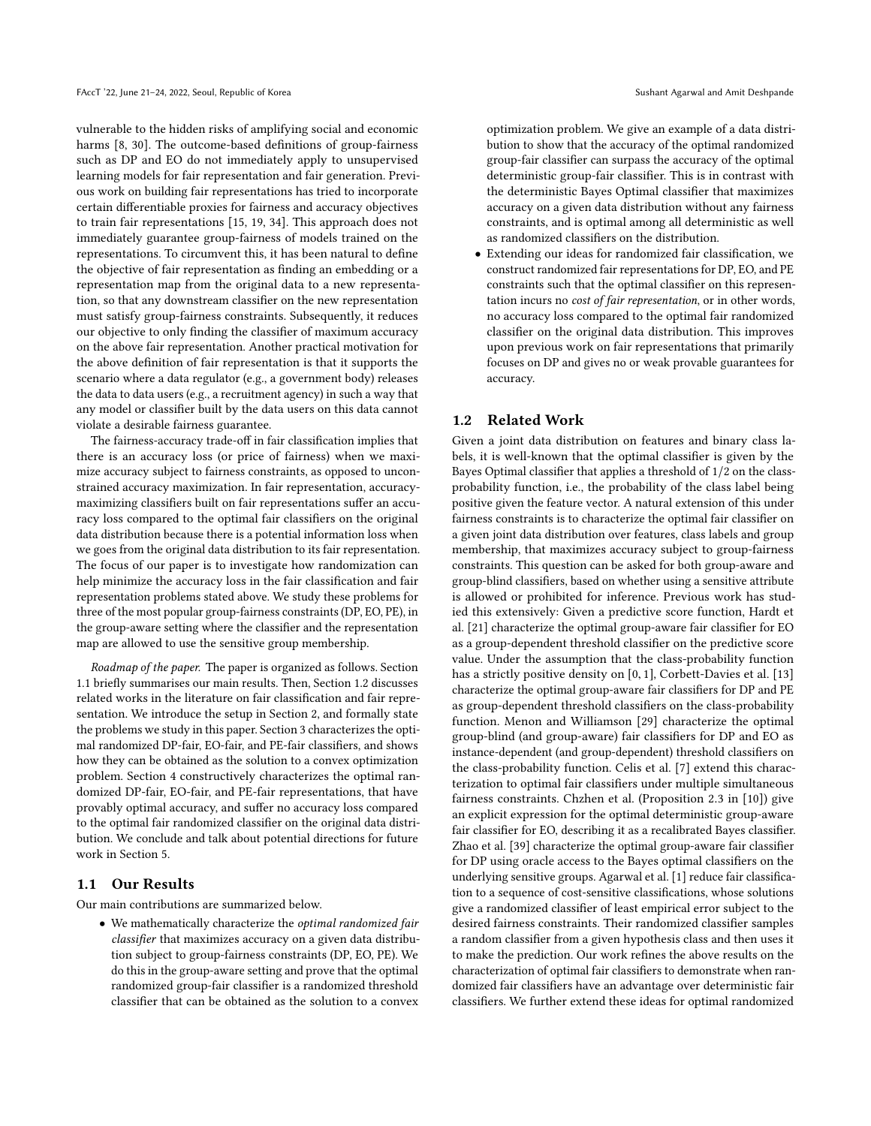vulnerable to the hidden risks of amplifying social and economic harms [\[8,](#page-8-15) [30\]](#page-9-5). The outcome-based definitions of group-fairness such as DP and EO do not immediately apply to unsupervised learning models for fair representation and fair generation. Previous work on building fair representations has tried to incorporate certain differentiable proxies for fairness and accuracy objectives to train fair representations [\[15,](#page-8-16) [19,](#page-8-17) [34\]](#page-9-6). This approach does not immediately guarantee group-fairness of models trained on the representations. To circumvent this, it has been natural to define the objective of fair representation as finding an embedding or a representation map from the original data to a new representation, so that any downstream classifier on the new representation must satisfy group-fairness constraints. Subsequently, it reduces our objective to only finding the classifier of maximum accuracy on the above fair representation. Another practical motivation for the above definition of fair representation is that it supports the scenario where a data regulator (e.g., a government body) releases the data to data users (e.g., a recruitment agency) in such a way that any model or classifier built by the data users on this data cannot violate a desirable fairness guarantee.

The fairness-accuracy trade-off in fair classification implies that there is an accuracy loss (or price of fairness) when we maximize accuracy subject to fairness constraints, as opposed to unconstrained accuracy maximization. In fair representation, accuracymaximizing classifiers built on fair representations suffer an accuracy loss compared to the optimal fair classifiers on the original data distribution because there is a potential information loss when we goes from the original data distribution to its fair representation. The focus of our paper is to investigate how randomization can help minimize the accuracy loss in the fair classification and fair representation problems stated above. We study these problems for three of the most popular group-fairness constraints (DP, EO, PE), in the group-aware setting where the classifier and the representation map are allowed to use the sensitive group membership.

Roadmap of the paper. The paper is organized as follows. Section [1.1](#page-1-0) briefly summarises our main results. Then, Section [1.2](#page-1-1) discusses related works in the literature on fair classification and fair representation. We introduce the setup in Section [2,](#page-2-0) and formally state the problems we study in this paper. Section [3](#page-4-0) characterizes the optimal randomized DP-fair, EO-fair, and PE-fair classifiers, and shows how they can be obtained as the solution to a convex optimization problem. Section [4](#page-7-0) constructively characterizes the optimal randomized DP-fair, EO-fair, and PE-fair representations, that have provably optimal accuracy, and suffer no accuracy loss compared to the optimal fair randomized classifier on the original data distribution. We conclude and talk about potential directions for future work in Section [5.](#page-8-18)

### <span id="page-1-0"></span>1.1 Our Results

Our main contributions are summarized below.

• We mathematically characterize the optimal randomized fair classifier that maximizes accuracy on a given data distribution subject to group-fairness constraints (DP, EO, PE). We do this in the group-aware setting and prove that the optimal randomized group-fair classifier is a randomized threshold classifier that can be obtained as the solution to a convex

optimization problem. We give an example of a data distribution to show that the accuracy of the optimal randomized group-fair classifier can surpass the accuracy of the optimal deterministic group-fair classifier. This is in contrast with the deterministic Bayes Optimal classifier that maximizes accuracy on a given data distribution without any fairness constraints, and is optimal among all deterministic as well as randomized classifiers on the distribution.

• Extending our ideas for randomized fair classification, we construct randomized fair representations for DP, EO, and PE constraints such that the optimal classifier on this representation incurs no cost of fair representation, or in other words, no accuracy loss compared to the optimal fair randomized classifier on the original data distribution. This improves upon previous work on fair representations that primarily focuses on DP and gives no or weak provable guarantees for accuracy.

### <span id="page-1-1"></span>1.2 Related Work

Given a joint data distribution on features and binary class labels, it is well-known that the optimal classifier is given by the Bayes Optimal classifier that applies a threshold of 1/2 on the classprobability function, i.e., the probability of the class label being positive given the feature vector. A natural extension of this under fairness constraints is to characterize the optimal fair classifier on a given joint data distribution over features, class labels and group membership, that maximizes accuracy subject to group-fairness constraints. This question can be asked for both group-aware and group-blind classifiers, based on whether using a sensitive attribute is allowed or prohibited for inference. Previous work has studied this extensively: Given a predictive score function, Hardt et al. [\[21\]](#page-8-6) characterize the optimal group-aware fair classifier for EO as a group-dependent threshold classifier on the predictive score value. Under the assumption that the class-probability function has a strictly positive density on [0, 1], Corbett-Davies et al. [\[13\]](#page-8-19) characterize the optimal group-aware fair classifiers for DP and PE as group-dependent threshold classifiers on the class-probability function. Menon and Williamson [\[29\]](#page-9-3) characterize the optimal group-blind (and group-aware) fair classifiers for DP and EO as instance-dependent (and group-dependent) threshold classifiers on the class-probability function. Celis et al. [\[7\]](#page-8-10) extend this characterization to optimal fair classifiers under multiple simultaneous fairness constraints. Chzhen et al. (Proposition <sup>2</sup>.<sup>3</sup> in [\[10\]](#page-8-11)) give an explicit expression for the optimal deterministic group-aware fair classifier for EO, describing it as a recalibrated Bayes classifier. Zhao et al. [\[39\]](#page-9-7) characterize the optimal group-aware fair classifier for DP using oracle access to the Bayes optimal classifiers on the underlying sensitive groups. Agarwal et al. [\[1\]](#page-8-13) reduce fair classification to a sequence of cost-sensitive classifications, whose solutions give a randomized classifier of least empirical error subject to the desired fairness constraints. Their randomized classifier samples a random classifier from a given hypothesis class and then uses it to make the prediction. Our work refines the above results on the characterization of optimal fair classifiers to demonstrate when randomized fair classifiers have an advantage over deterministic fair classifiers. We further extend these ideas for optimal randomized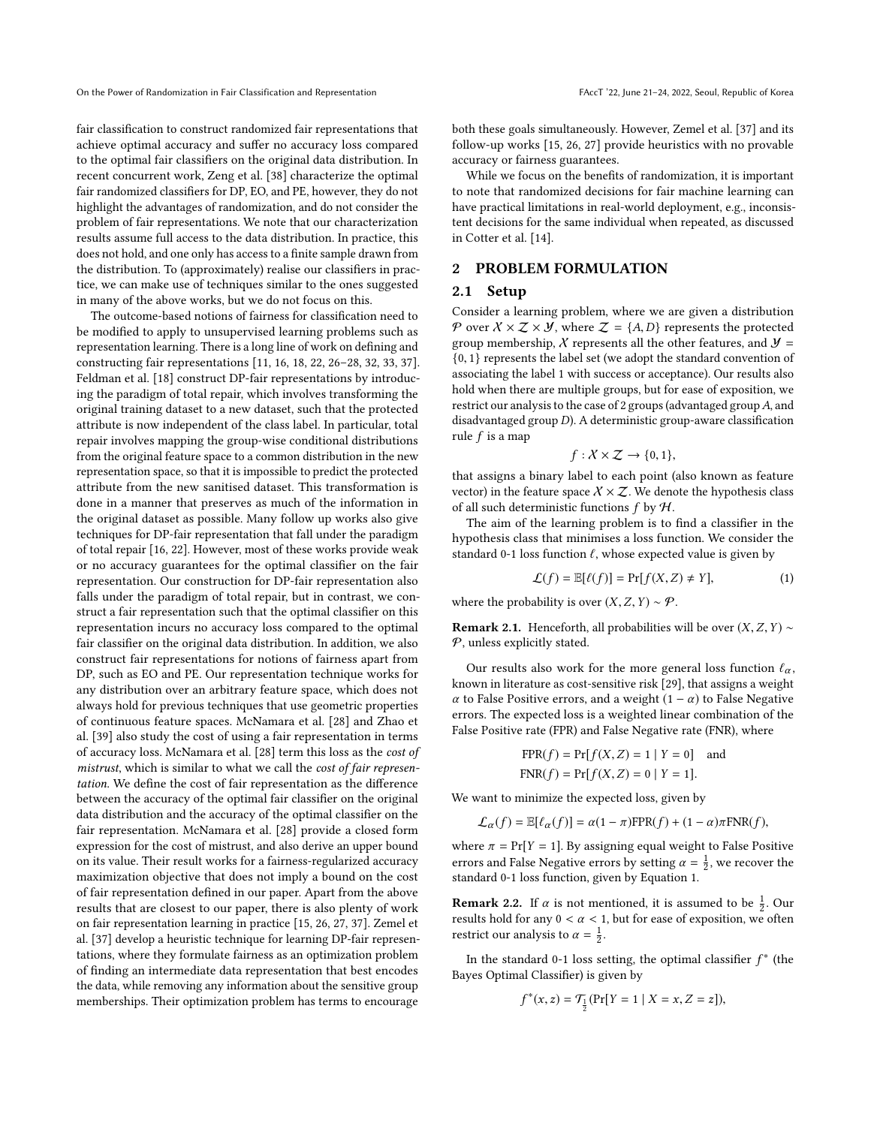fair classification to construct randomized fair representations that achieve optimal accuracy and suffer no accuracy loss compared to the optimal fair classifiers on the original data distribution. In recent concurrent work, Zeng et al. [\[38\]](#page-9-8) characterize the optimal fair randomized classifiers for DP, EO, and PE, however, they do not highlight the advantages of randomization, and do not consider the problem of fair representations. We note that our characterization results assume full access to the data distribution. In practice, this does not hold, and one only has access to a finite sample drawn from the distribution. To (approximately) realise our classifiers in practice, we can make use of techniques similar to the ones suggested in many of the above works, but we do not focus on this.

The outcome-based notions of fairness for classification need to be modified to apply to unsupervised learning problems such as representation learning. There is a long line of work on defining and constructing fair representations [\[11,](#page-8-20) [16,](#page-8-21) [18,](#page-8-22) [22,](#page-8-23) [26](#page-8-24)[–28,](#page-9-9) [32,](#page-9-10) [33,](#page-9-11) [37\]](#page-9-12). Feldman et al. [\[18\]](#page-8-22) construct DP-fair representations by introducing the paradigm of total repair, which involves transforming the original training dataset to a new dataset, such that the protected attribute is now independent of the class label. In particular, total repair involves mapping the group-wise conditional distributions from the original feature space to a common distribution in the new representation space, so that it is impossible to predict the protected attribute from the new sanitised dataset. This transformation is done in a manner that preserves as much of the information in the original dataset as possible. Many follow up works also give techniques for DP-fair representation that fall under the paradigm of total repair [\[16,](#page-8-21) [22\]](#page-8-23). However, most of these works provide weak or no accuracy guarantees for the optimal classifier on the fair representation. Our construction for DP-fair representation also falls under the paradigm of total repair, but in contrast, we construct a fair representation such that the optimal classifier on this representation incurs no accuracy loss compared to the optimal fair classifier on the original data distribution. In addition, we also construct fair representations for notions of fairness apart from DP, such as EO and PE. Our representation technique works for any distribution over an arbitrary feature space, which does not always hold for previous techniques that use geometric properties of continuous feature spaces. McNamara et al. [\[28\]](#page-9-9) and Zhao et al. [\[39\]](#page-9-7) also study the cost of using a fair representation in terms of accuracy loss. McNamara et al. [\[28\]](#page-9-9) term this loss as the cost of mistrust, which is similar to what we call the cost of fair representation. We define the cost of fair representation as the difference between the accuracy of the optimal fair classifier on the original data distribution and the accuracy of the optimal classifier on the fair representation. McNamara et al. [\[28\]](#page-9-9) provide a closed form expression for the cost of mistrust, and also derive an upper bound on its value. Their result works for a fairness-regularized accuracy maximization objective that does not imply a bound on the cost of fair representation defined in our paper. Apart from the above results that are closest to our paper, there is also plenty of work on fair representation learning in practice [\[15,](#page-8-16) [26,](#page-8-24) [27,](#page-9-13) [37\]](#page-9-12). Zemel et al. [\[37\]](#page-9-12) develop a heuristic technique for learning DP-fair representations, where they formulate fairness as an optimization problem of finding an intermediate data representation that best encodes the data, while removing any information about the sensitive group memberships. Their optimization problem has terms to encourage

both these goals simultaneously. However, Zemel et al. [\[37\]](#page-9-12) and its follow-up works [\[15,](#page-8-16) [26,](#page-8-24) [27\]](#page-9-13) provide heuristics with no provable accuracy or fairness guarantees.

While we focus on the benefits of randomization, it is important to note that randomized decisions for fair machine learning can have practical limitations in real-world deployment, e.g., inconsistent decisions for the same individual when repeated, as discussed in Cotter et al. [\[14\]](#page-8-25).

### <span id="page-2-0"></span>2 PROBLEM FORMULATION

### 2.1 Setup

Consider a learning problem, where we are given a distribution P over  $X \times Z \times Y$ , where  $Z = \{A, D\}$  represents the protected group membership,  $\chi$  represents all the other features, and  $\mathcal{Y} =$ {0, <sup>1</sup>} represents the label set (we adopt the standard convention of associating the label 1 with success or acceptance). Our results also hold when there are multiple groups, but for ease of exposition, we restrict our analysis to the case of 2 groups (advantaged group  $A$ , and disadvantaged group D). A deterministic group-aware classification rule  $f$  is a map

$$
f: X \times \mathcal{Z} \to \{0, 1\},\
$$

that assigns a binary label to each point (also known as feature vector) in the feature space  $X \times \mathcal{Z}$ . We denote the hypothesis class of all such deterministic functions  $f$  by  $H$ .

The aim of the learning problem is to find a classifier in the hypothesis class that minimises a loss function. We consider the standard 0-1 loss function  $\ell$ , whose expected value is given by

<span id="page-2-1"></span>
$$
\mathcal{L}(f) = \mathbb{E}[\ell(f)] = \Pr[f(X, Z) \neq Y],\tag{1}
$$

where the probability is over  $(X, Z, Y) \sim \mathcal{P}$ .

**Remark 2.1.** Henceforth, all probabilities will be over  $(X, Z, Y)$  ∼  $P$ , unless explicitly stated.

Our results also work for the more general loss function  $\ell_{\alpha}$ , known in literature as cost-sensitive risk [\[29\]](#page-9-3), that assigns a weight α to False Positive errors, and a weight (<sup>1</sup> <sup>−</sup> α) to False Negative errors. The expected loss is a weighted linear combination of the False Positive rate (FPR) and False Negative rate (FNR), where

$$
FPR(f) = Pr[f(X, Z) = 1 | Y = 0] \text{ and}
$$
  

$$
FNR(f) = Pr[f(X, Z) = 0 | Y = 1].
$$

We want to minimize the expected loss, given by

$$
\mathcal{L}_{\alpha}(f) = \mathbb{E}[\ell_{\alpha}(f)] = \alpha(1-\pi)\text{FPR}(f) + (1-\alpha)\pi\text{FNR}(f),
$$

where  $\pi = \Pr[Y = 1]$ . By assigning equal weight to False Positive errors and False Negative errors by setting  $\alpha = \frac{1}{2}$ , we recover the standard 0-1 loss function, given by Equation [1.](#page-2-1)

**Remark 2.2.** If  $\alpha$  is not mentioned, it is assumed to be  $\frac{1}{2}$ . Our results hold for any  $0 \le \alpha \le 1$  but for ease of exposition, we often results hold for any  $0 < \alpha < 1$ , but for ease of exposition, we often restrict our analysis to  $\alpha = \frac{1}{2}$ .

In the standard 0-1 loss setting, the optimal classifier  $f^*$  (the vec Optimal Classifier) is given by Bayes Optimal Classifier) is given by

$$
f^*(x, z) = \mathcal{T}_\frac{1}{2}(\Pr[Y = 1 \mid X = x, Z = z]),
$$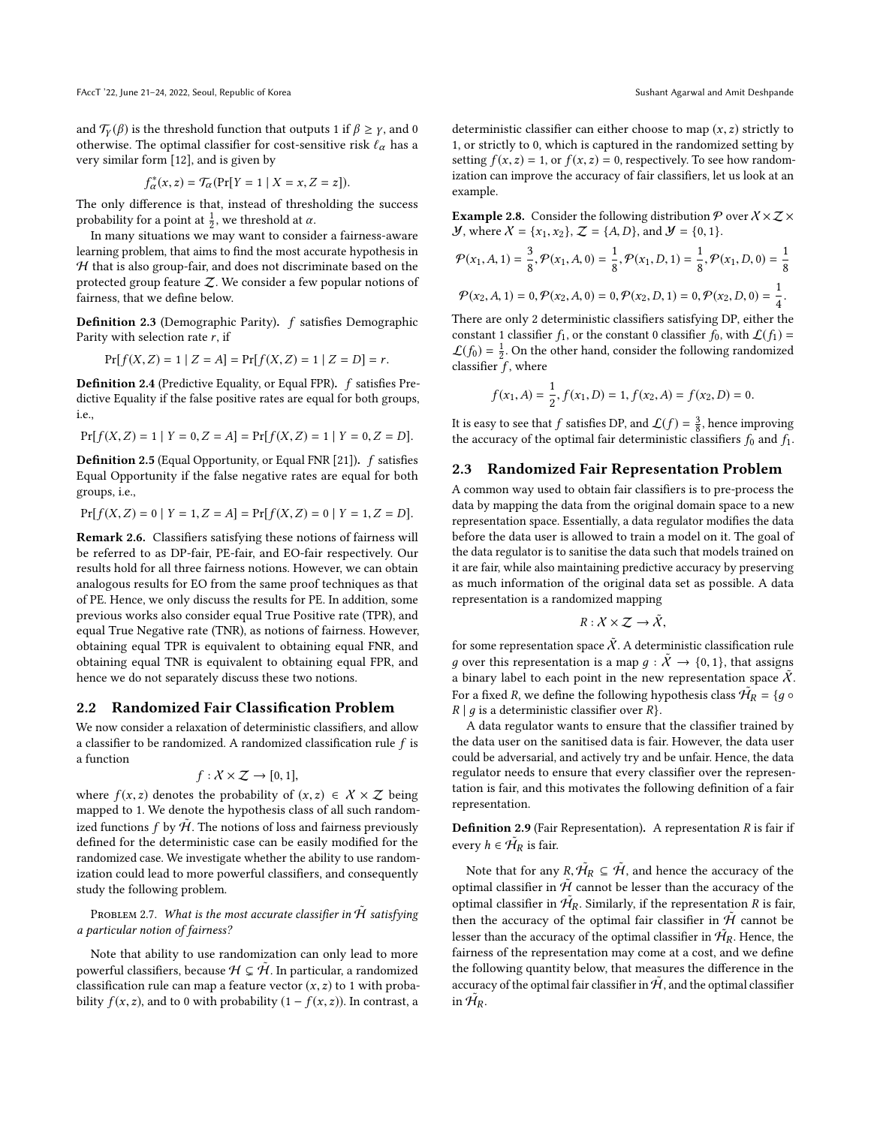and  $\mathcal{T}_{\gamma}(\beta)$  is the threshold function that outputs 1 if  $\beta \geq \gamma$ , and 0 otherwise. The optimal classifier for cost-sensitive risk  $\ell_{\alpha}$  has a very similar form [\[12\]](#page-8-12), and is given by

$$
C^*_{\alpha}(x, z) = \mathcal{T}_{\alpha}(\Pr[Y = 1 \mid X = x, Z = z]).
$$

f<br>I  $f_{\alpha}^{*}(x, z) = \mathcal{T}_{\alpha}(\Pr[Y = 1 | X = x, Z = z]).$ <br>The only difference is that, instead of thresholding the success probability for a point at  $\frac{1}{2}$ , we threshold at  $\alpha$ .

In many situations we may want to consider a fairness-aware learning problem, that aims to find the most accurate hypothesis in  $H$  that is also group-fair, and does not discriminate based on the protected group feature  $Z$ . We consider a few popular notions of fairness, that we define below.

Definition 2.3 (Demographic Parity). f satisfies Demographic Parity with selection rate  $r$ , if

$$
\Pr[f(X, Z) = 1 | Z = A] = \Pr[f(X, Z) = 1 | Z = D] = r.
$$

Definition 2.4 (Predictive Equality, or Equal FPR). f satisfies Predictive Equality if the false positive rates are equal for both groups, i.e.,

$$
\Pr[f(X, Z) = 1 | Y = 0, Z = A] = \Pr[f(X, Z) = 1 | Y = 0, Z = D].
$$

**Definition 2.5** (Equal Opportunity, or Equal FNR [\[21\]](#page-8-6)).  $f$  satisfies Equal Opportunity if the false negative rates are equal for both groups, i.e.,

$$
\Pr[f(X, Z) = 0 | Y = 1, Z = A] = \Pr[f(X, Z) = 0 | Y = 1, Z = D].
$$

Remark 2.6. Classifiers satisfying these notions of fairness will be referred to as DP-fair, PE-fair, and EO-fair respectively. Our results hold for all three fairness notions. However, we can obtain analogous results for EO from the same proof techniques as that of PE. Hence, we only discuss the results for PE. In addition, some previous works also consider equal True Positive rate (TPR), and equal True Negative rate (TNR), as notions of fairness. However, obtaining equal TPR is equivalent to obtaining equal FNR, and obtaining equal TNR is equivalent to obtaining equal FPR, and hence we do not separately discuss these two notions.

#### 2.2 Randomized Fair Classification Problem

We now consider a relaxation of deterministic classifiers, and allow a classifier to be randomized. A randomized classification rule  $f$  is a function

$$
f: X \times Z \to [0, 1],
$$

where  $f(x, z)$  denotes the probability of  $(x, z) \in X \times Z$  being<br>manned to 1. We denote the hypothesis class of all such random. mapped to 1. We denote the hypothesis class of all such randomized functions f by  $\tilde{H}$ . The notions of loss and fairness previously<br>defined for the deterministic case can be easily modified for the defined for the deterministic case can be easily modified for the randomized case. We investigate whether the ability to use randomization could lead to more powerful classifiers, and consequently study the following problem.

<span id="page-3-1"></span>Problem 2.7. What is the most accurate classifier in  $\tilde{\mathcal{H}}$  satisfying a particular notion of fairness?

Note that ability to use randomization can only lead to more powerful classifiers, because  $\mathcal{H} \subsetneq \tilde{\mathcal{H}}$ . In particular, a randomized classification rule can map a feature vector  $(x, z)$  to 1 with probability  $f(x, z)$ , and to 0 with probability  $(1 - f(x, z))$ . In contrast, a deterministic classifier can either choose to map  $(x, z)$  strictly to 1, or strictly to 0, which is captured in the randomized setting by setting  $f(x, z) = 1$ , or  $f(x, z) = 0$ , respectively. To see how randomization can improve the accuracy of fair classifiers, let us look at an example.

<span id="page-3-0"></span>**Example 2.8.** Consider the following distribution  $\mathcal{P}$  over  $X \times Z \times$ *Y*, where  $X = \{x_1, x_2\}$ ,  $Z = \{A, D\}$ , and  $Y = \{0, 1\}$ .

$$
\mathcal{P}(x_1, A, 1) = \frac{3}{8}, \mathcal{P}(x_1, A, 0) = \frac{1}{8}, \mathcal{P}(x_1, D, 1) = \frac{1}{8}, \mathcal{P}(x_1, D, 0) = \frac{1}{8}
$$

$$
\mathcal{P}(x_2, A, 1) = 0, \mathcal{P}(x_2, A, 0) = 0, \mathcal{P}(x_2, D, 1) = 0, \mathcal{P}(x_2, D, 0) = \frac{1}{4}.
$$

There are only 2 deterministic classifiers satisfying DP, either the constant 1 classifier  $f_1$ , or the constant 0 classifier  $f_0$ , with  $\mathcal{L}(f_1)$  =  $\mathcal{L}(f_0) = \frac{1}{2}$ . On the other hand, consider the following randomized classifier  $\overline{f}$ , where

$$
f(x_1, A) = \frac{1}{2}, f(x_1, D) = 1, f(x_2, A) = f(x_2, D) = 0.
$$

It is easy to see that f satisfies DP, and  $\mathcal{L}(f) = \frac{3}{8}$ , hence improving<br>the accuracy of the optimal fair deterministic classifiers f, and f, the accuracy of the optimal fair deterministic classifiers  $f_0$  and  $f_1$ .

### 2.3 Randomized Fair Representation Problem

A common way used to obtain fair classifiers is to pre-process the data by mapping the data from the original domain space to a new representation space. Essentially, a data regulator modifies the data before the data user is allowed to train a model on it. The goal of the data regulator is to sanitise the data such that models trained on it are fair, while also maintaining predictive accuracy by preserving as much information of the original data set as possible. A data representation is a randomized mapping

$$
R: X \times Z \to \tilde{X},
$$

for some representation space  $\widetilde{X}$ . A deterministic classification rule g over this representation is a map  $g : \tilde{X} \to \{0, 1\}$ , that assigns a binary label to each point in the new representation space  $\tilde{X}$ . For a fixed R, we define the following hypothesis class  $\mathcal{H}_R = \{g \circ R \mid g \text{ is a deterministic classifier over } R\}$  $R | g$  is a deterministic classifier over  $R$ .

A data regulator wants to ensure that the classifier trained by the data user on the sanitised data is fair. However, the data user could be adversarial, and actively try and be unfair. Hence, the data regulator needs to ensure that every classifier over the representation is fair, and this motivates the following definition of a fair representation.

**Definition 2.9** (Fair Representation). A representation  $R$  is fair if every  $h \in \mathcal{H}_R$  is fair.

Note that for any  $R, \tilde{H}_R \subseteq \tilde{\mathcal{H}}$ , and hence the accuracy of the timel eleccifier in  $\tilde{\mathcal{H}}$  connot be lesson than the accuracy of the optimal classifier in  $\hat{H}$  cannot be lesser than the accuracy of the optimal classifier in  $\tilde{H}_R$ . Similarly, if the representation R is fair,<br>then the securecy of the optimal fair classifier in  $\tilde{H}$  cannot be then the accuracy of the optimal fair classifier in  $\tilde{\mathcal{H}}$  cannot be lesser than the accuracy of the optimal classifier in  $\mathcal{H}_R$ . Hence, the fairness of the representation may come at a cost, and we define the following quantity below, that measures the difference in the accuracy of the optimal fair classifier in  $\tilde{\mathcal{H}}$ , and the optimal classifier in  $\mathcal{\tilde{H}}_R$ .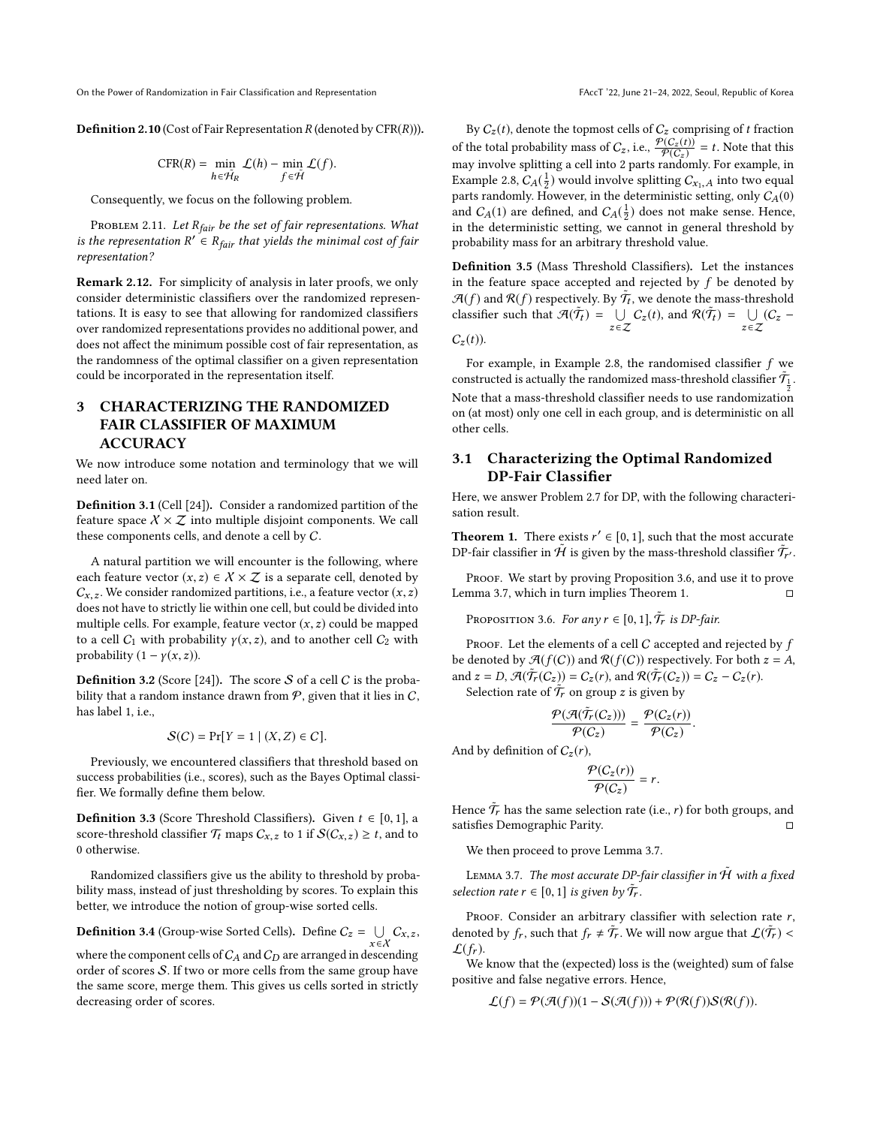**Definition 2.10** (Cost of Fair Representation  $R$  (denoted by  $CFR(R)$ )).

$$
CFR(R) = \min_{h \in \tilde{\mathcal{H}}_R} \mathcal{L}(h) - \min_{f \in \tilde{\mathcal{H}}} \mathcal{L}(f).
$$

Consequently, we focus on the following problem.

<span id="page-4-4"></span>PROBLEM 2.11. Let  $R_{fair}$  be the set of fair representations. What is the representation  $R' \in R_{fair}$  that yields the minimal cost of fair representation? representation?

Remark 2.12. For simplicity of analysis in later proofs, we only consider deterministic classifiers over the randomized representations. It is easy to see that allowing for randomized classifiers over randomized representations provides no additional power, and does not affect the minimum possible cost of fair representation, as the randomness of the optimal classifier on a given representation could be incorporated in the representation itself.

# <span id="page-4-0"></span>3 CHARACTERIZING THE RANDOMIZED FAIR CLASSIFIER OF MAXIMUM ACCURACY

We now introduce some notation and terminology that we will need later on.

Definition 3.1 (Cell [\[24\]](#page-8-26)). Consider a randomized partition of the feature space  $X \times \mathcal{Z}$  into multiple disjoint components. We call these components cells, and denote a cell by C.

A natural partition we will encounter is the following, where each feature vector  $(x, z) \in \mathcal{X} \times \mathcal{Z}$  is a separate cell, denoted by  $C_{x,z}$ . We consider randomized partitions, i.e., a feature vector  $(x, z)$ does not have to strictly lie within one cell, but could be divided into multiple cells. For example, feature vector  $(x, z)$  could be mapped to a cell  $C_1$  with probability  $\gamma(x, z)$ , and to another cell  $C_2$  with probability  $(1 - \gamma(x, z))$ .

**Definition 3.2** (Score [\[24\]](#page-8-26)). The score  $S$  of a cell  $C$  is the probability that a random instance drawn from  $P$ , given that it lies in  $C$ , has label 1, i.e.,

$$
\mathcal{S}(C) = \Pr[Y = 1 \mid (X, Z) \in C].
$$

Previously, we encountered classifiers that threshold based on success probabilities (i.e., scores), such as the Bayes Optimal classifier. We formally define them below.

**Definition 3.3** (Score Threshold Classifiers). Given  $t \in [0, 1]$ , a score-threshold classifier  $\mathcal{T}_t$  maps  $C_{x,z}$  to 1 if  $\mathcal{S}(C_{x,z}) \geq t$ , and to 0 otherwise.

Randomized classifiers give us the ability to threshold by probability mass, instead of just thresholding by scores. To explain this better, we introduce the notion of group-wise sorted cells.

**Definition 3.4** (Group-wise Sorted Cells). Define  $C_z = \bigcup_{x \in \mathcal{X}} C_{x,z}$ ,

where the component cells of  $C_A$  and  $C_D$  are arranged in descending order of scores S. If two or more cells from the same group have the same score, merge them. This gives us cells sorted in strictly decreasing order of scores.

By  $C_z(t),$  denote the topmost cells of  $C_z$  comprising of  $t$  fraction of the total probability mass of  $C_z$ , i.e.,  $\frac{\varphi(C_z(t))}{\varphi(C_z)} = t$ . Note that this may involve splitting a cell into 2 parts randomly. For example, in Example [2.8,](#page-3-0)  $C_A(\frac{1}{2})$  would involve splitting  $C_{x_1,A}$  into two equal<br>parts randomly. However, in the deterministic setting, only  $C_A(0)$ parts randomly. However, in the deterministic setting, only  $C_A(0)$ and  $C_A(1)$  are defined, and  $C_A(\frac{1}{2})$  does not make sense. Hence, in the deterministic setting, we cannot in general threshold by probability mass for an arbitrary threshold value.

Definition 3.5 (Mass Threshold Classifiers). Let the instances in the feature space accepted and rejected by  $f$  be denoted by  $\mathcal{A}(f)$  and  $\mathcal{R}(f)$  respectively. By  $\tilde{\mathcal{T}}_t$ , we denote the mass-threshold eleccifier such that  $\mathcal{A}(\tilde{\mathcal{T}}) = \Box C(t)$  and  $\mathcal{P}(\tilde{\mathcal{T}}) = \Box C(t)$ classifier such that  $\mathcal{A}(\tilde{\mathcal{T}}_t) = \bigcup$  $\bigcup_{z \in \mathcal{Z}} C_z(t)$ , and  $\mathcal{R}(\tilde{\mathcal{T}}_t) = \bigcup_{z \in \mathcal{Z}}$  $\bigcup_{z \in \mathcal{Z}} (C_z C_z(t)$ ).

For example, in Example [2.8,](#page-3-0) the randomised classifier f we constructed is actually the randomized mass-threshold classifier  $\tilde{\mathcal{T}}_{\frac{1}{2}}$ . Note that a mass-threshold classifier needs to use randomization on (at most) only one cell in each group, and is deterministic on all other cells.

### 3.1 Characterizing the Optimal Randomized DP-Fair Classifier

Here, we answer Problem [2.7](#page-3-1) for DP, with the following characterisation result.

<span id="page-4-3"></span>**Theorem 1.** There exists  $r' \in [0, 1]$ , such that the most accurate  $\tilde{T}$ . DP-fair classifier in  $\hat{H}$  is given by the mass-threshold classifier  $\tilde{T}_{r'}$ .

PROOF. We start by proving Proposition [3.6,](#page-4-1) and use it to prove Lemma [3.7,](#page-4-2) which in turn implies Theorem [1.](#page-4-3)  $□$ 

<span id="page-4-1"></span>PROPOSITION 3.6. For any  $r \in [0, 1]$ ,  $\tilde{\mathcal{T}}_r$  is DP-fair.

PROOF. Let the elements of a cell  $C$  accepted and rejected by  $f$ be denoted by  $\mathcal{A}(f(C))$  and  $\mathcal{R}(f(C))$  respectively. For both  $z = A$ , and  $z = D$ ,  $\mathcal{A}(\tilde{\mathcal{T}}_r(C_z)) = C_z(r)$ , and  $\mathcal{A}(\tilde{\mathcal{T}}_r(C_z)) = C_z - C_z(r)$ .<br>Selection rate of  $\tilde{\mathcal{T}}_r$  on group z is given by

Selection rate of  $\tilde{T}_r$  on group z is given by

$$
\frac{\mathcal{P}(\mathcal{A}(\tilde{\mathcal{T}}_r(C_z)))}{\mathcal{P}(C_z)}=\frac{\mathcal{P}(C_z(r))}{\mathcal{P}(C_z)}.
$$

And by definition of  $C_z(r)$ ,

$$
\frac{\mathcal{P}(C_z(r))}{\mathcal{P}(C_z)}=r.
$$

Hence  $\tilde{\mathcal{T}}_r$  has the same selection rate (i.e., *r*) for both groups, and satisfies Demographic Parity satisfies Demographic Parity. □

We then proceed to prove Lemma [3.7.](#page-4-2)

<span id="page-4-2"></span>LEMMA 3.7. The most accurate DP-fair classifier in  $\tilde{\mathcal{H}}$  with a fixed selection rate  $r \in [0, 1]$  is given by  $\tilde{\mathcal{T}}_r$ .

PROOF. Consider an arbitrary classifier with selection rate  $r$ , denoted by  $f_r$ , such that  $f_r \neq \tilde{T_r}$ . We will now argue that  $\mathcal{L}(\tilde{T_r}) <$  $\mathcal{L}(f_r)$ .

We know that the (expected) loss is the (weighted) sum of false positive and false negative errors. Hence,

$$
\mathcal{L}(f) = \mathcal{P}(\mathcal{A}(f))(1 - \mathcal{S}(\mathcal{A}(f))) + \mathcal{P}(\mathcal{R}(f))\mathcal{S}(\mathcal{R}(f)).
$$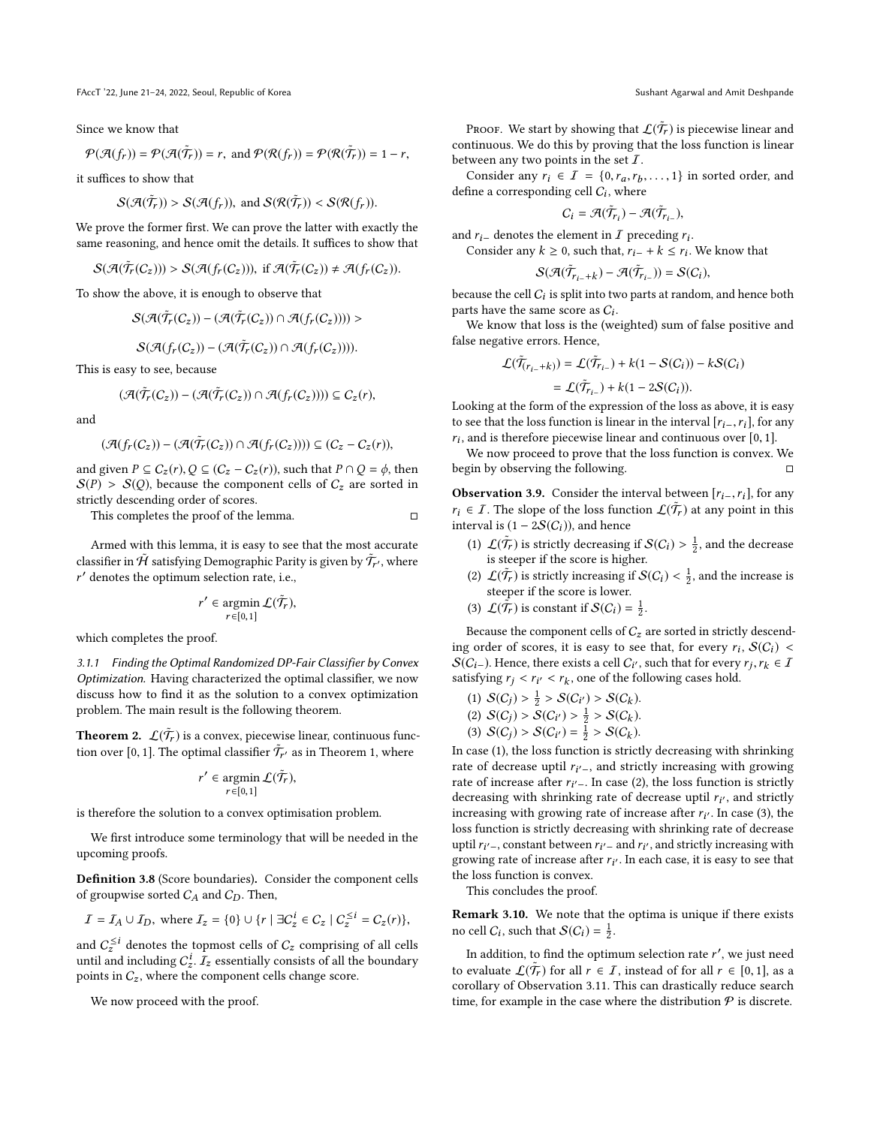FAccT '22, June 21-24, 2022, Seoul, Republic of Korea Sushant Agarwal and Amit Deshpande

Since we know that

$$
\mathcal{P}(\mathcal{A}(f_r)) = \mathcal{P}(\mathcal{A}(\tilde{\mathcal{T}}_r)) = r, \text{ and } \mathcal{P}(\mathcal{R}(f_r)) = \mathcal{P}(\mathcal{R}(\tilde{\mathcal{T}}_r)) = 1 - r,
$$

it suffices to show that

$$
\mathcal{S}(\mathcal{A}(\tilde{\mathcal{T}}_r)) > \mathcal{S}(\mathcal{A}(f_r)), \text{ and } \mathcal{S}(\mathcal{R}(\tilde{\mathcal{T}}_r)) < \mathcal{S}(\mathcal{R}(f_r)).
$$

We prove the former first. We can prove the latter with exactly the same reasoning, and hence omit the details. It suffices to show that

$$
\mathcal{S}(\mathcal{A}(\tilde{\mathcal{T}}_r(C_z))) > \mathcal{S}(\mathcal{A}(f_r(C_z))), \text{ if } \mathcal{A}(\tilde{\mathcal{T}}_r(C_z)) \neq \mathcal{A}(f_r(C_z)).
$$

To show the above, it is enough to observe that

$$
\mathcal{S}(\mathcal{A}(\tilde{\mathcal{T}}_r(C_z)) - (\mathcal{A}(\tilde{\mathcal{T}}_r(C_z)) \cap \mathcal{A}(f_r(C_z)))) >
$$

$$
\mathcal{S}(\mathcal{A}(f_r(C_z)) - (\mathcal{A}(\tilde{\mathcal{T}}_r(C_z)) \cap \mathcal{A}(f_r(C_z))))
$$

This is easy to see, because

$$
(\mathcal{A}(\tilde{T}_r(C_z)) - (\mathcal{A}(\tilde{T}_r(C_z)) \cap \mathcal{A}(f_r(C_z)))) \subseteq C_z(r),
$$

and

$$
(\mathcal{A}(f_r(C_z)) - (\mathcal{A}(\tilde{\mathcal{T}}_r(C_z)) \cap \mathcal{A}(f_r(C_z)))) \subseteq (C_z - C_z(r)),
$$

and given  $P \subseteq C_z(r)$ ,  $Q \subseteq (C_z - C_z(r))$ , such that  $P \cap Q = \phi$ , then  $S(P) > S(Q)$ , because the component cells of  $C_z$  are sorted in strictly descending order of scores.

This completes the proof of the lemma.  $□$ 

Armed with this lemma, it is easy to see that the most accurate classifier in  $\tilde{\mathcal{H}}$  satisfying Demographic Parity is given by  $\tilde{\mathcal{T}}_{r'}$  , where ′ denotes the optimum selection rate, i.e.,

$$
r' \in \operatornamewithlimits{argmin}\limits_{r \in [0,1]} \mathcal{L}(\tilde{\mathcal{T}}_r),
$$

which completes the proof.

3.1.1 Finding the Optimal Randomized DP-Fair Classifier by Convex Optimization. Having characterized the optimal classifier, we now discuss how to find it as the solution to a convex optimization problem. The main result is the following theorem.

<span id="page-5-1"></span>**Theorem 2.**  $\mathcal{L}(\tilde{\mathcal{T}}_r)$  is a convex, piecewise linear, continuous function over [0, 1]. The optimal classifier  $\tilde{T}_{r'}$  as in Theorem [1,](#page-4-3) where

$$
r' \in \operatornamewithlimits{argmin}\limits_{r \in [0,1]} \mathcal{L}(\tilde{\mathcal{T}}_r),
$$

is therefore the solution to a convex optimisation problem.

We first introduce some terminology that will be needed in the upcoming proofs.

Definition 3.8 (Score boundaries). Consider the component cells of groupwise sorted  $C_A$  and  $C_D$ . Then,

$$
I = I_A \cup I_D, \text{ where } I_z = \{0\} \cup \{r \mid \exists C_z^i \in C_z \mid C_z^{\leq i} = C_z(r)\},
$$

and  $C_z^{\leq i}$  denotes the topmost cells of  $C_z$  comprising of all cells until and including  $C_z^i$ .  $\bar{I}_z$  essentially consists of all the boundary points in  $C_z$ , where the component cells change score.

We now proceed with the proof.

Proof. We start by showing that  $\mathcal{L}(\tilde{\mathcal{T}}_r)$  is piecewise linear and continuous. We do this by proving that the loss function is linear between any two points in the set  $\mathcal{I}$ .

Consider any  $r_i \in I = \{0, r_a, r_b, \ldots, 1\}$  in sorted order, and<br>fine a corresponding cell C; where define a corresponding cell  $C_i$ , where

$$
C_i = \mathcal{A}(\tilde{\mathcal{T}}_{r_i}) - \mathcal{A}(\tilde{\mathcal{T}}_{r_{i-}}),
$$

and  $r_i$ – denotes the element in *I* preceding  $r_i$ .<br>Consider any  $k \ge 0$  such that  $r_i + k \le r_i$ .

Consider any  $k \ge 0$ , such that,  $r_{i-} + k \le r_i$ . We know that

$$
\mathcal{S}(\mathcal{A}(\tilde{\mathcal{T}}_{r_{i-}+k}) - \mathcal{A}(\tilde{\mathcal{T}}_{r_{i-}})) = \mathcal{S}(C_i),
$$

because the cell  $C_i$  is split into two parts at random, and hence both parts have the same score as  $C_i$ .

We know that loss is the (weighted) sum of false positive and false negative errors. Hence,

$$
\mathcal{L}(\tilde{\mathcal{T}}_{(r_i - k)}) = \mathcal{L}(\tilde{\mathcal{T}}_{r_i}) + k(1 - S(C_i)) - kS(C_i)
$$

$$
= \mathcal{L}(\tilde{\mathcal{T}}_{r_i-}) + k(1 - 2S(C_i)).
$$
Looking at the form of the expression of the loss as above, it is easy

to see that the loss function is linear in the interval  $[r_{i-},r_i]$ , for any  $r_i$ , and is therefore piecewise linear and continuous over [0, 1].<br>We now proceed to prove that the loss function is convex.

We now proceed to prove that the loss function is convex. We begin by observing the following.  $□$ 

<span id="page-5-0"></span>**Observation 3.9.** Consider the interval between  $[r_{i-}, r_i]$ , for any  $r_i \in I$ . The slope of the loss function  $\mathcal{L}(\tilde{\mathcal{T}}_r)$  at any point in this interval is  $(1 - 2S(C_1))$  and hance interval is  $(1 - 2S(C_i))$ , and hence

- (1)  $\mathcal{L}(\tilde{\mathcal{T}}_r)$  is strictly decreasing if  $\mathcal{S}(C_i) > \frac{1}{2}$ , and the decrease is steeper if the score is higher.
- (2)  $\mathcal{L}(\tilde{\mathcal{T}}_r)$  is strictly increasing if  $\mathcal{S}(C_i) < \frac{1}{2}$ , and the increase is steeper if the score is lower. steeper if the score is lower.
- (3)  $\mathcal{L}(\tilde{\tilde{\mathcal{T}}_r})$  is constant if  $\mathcal{S}(C_i) = \frac{1}{2}$ .

Because the component cells of  $C_z$  are sorted in strictly descending order of scores, it is easy to see that, for every  $r_i$ ,  $S(C_i) < S(C_i)$ . Hence there exists a cell  $C_i$ , such that for every  $r_i$ ,  $\in \mathcal{T}$ .  $\mathcal{S}(C_{i-})$ . Hence, there exists a cell  $C_{i'}$ , such that for every  $r_j, r_k \in I$ satisfying  $r_j < r_{i'} < r_k$ , one of the following cases hold.

(1) 
$$
S(C_j) > \frac{1}{2} > S(C_{i'}) > S(C_k)
$$
.

(2) 
$$
S(C_j) > S(C_{i'}) > \frac{1}{2} > S(C_k)
$$
.

(3) 
$$
S(C_j) > S(C_{i'}) = \frac{1}{2} > S(C_k)
$$
.

(3)  $S(C_j) > S(C_{i'}) = \frac{1}{2} > S(C_k)$ .<br>In case (1), the loss function is strictly decreasing with shrinking rate of decrease uptil  $r_{i' -}$ , and strictly increasing with growing<br>rate of increase after  $r_{i'}$ . In case (2) the loss function is strictly rate of increase after  $r_{i'}$ . In case (2), the loss function is strictly decreasing with shrinking rate of decrease until  $r_{i'}$  and strictly decreasing with shrinking rate of decrease uptil  $r_{i'}$ , and strictly increasing with growing rate of increase after  $r_{i'}$ . In case (3), the increasing with growing rate of increase after  $r_{i'}$ . In case (3), the loss function is strictly decreasing with shripking rate of decrease loss function is strictly decreasing with shrinking rate of decrease uptil  $r_{i' -}$ , constant between  $r_{i' -}$  and  $r_{i'}$ , and strictly increasing with growing rate of increase after  $r_{i'}$ . In each case, it is easy to see that growing rate of increase after  $r_{i'}$ . In each case, it is easy to see that the loss function is convex the loss function is convex.

This concludes the proof.

Remark 3.10. We note that the optima is unique if there exists no cell  $C_i$ , such that  $\mathcal{S}(C_i) = \frac{1}{2}$ .

In addition, to find the optimum selection rate r', we just need<br>
avaluate  $\mathcal{L}(\tilde{\mathcal{T}})$  for all  $r \in \mathcal{T}$  instead of for all  $r \in [0, 1]$  as a to evaluate  $\mathcal{L}(\tilde{\mathcal{T}}_r)$  for all  $r \in \mathcal{I}$ , instead of for all  $r \in [0, 1]$ , as a corollary of Observation 3.11. This can drastically reduce search corollary of Observation [3.11.](#page-6-0) This can drastically reduce search time, for example in the case where the distribution  $P$  is discrete.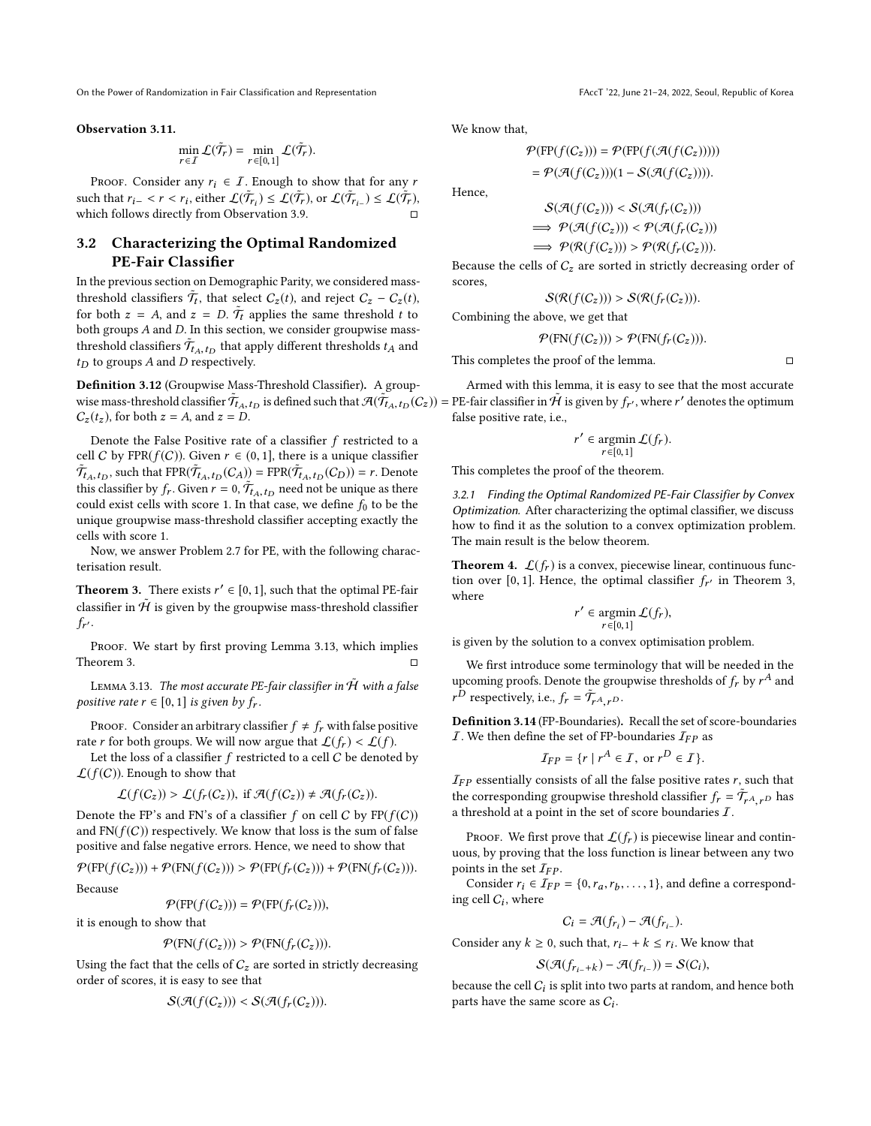#### <span id="page-6-0"></span>Observation 3.11.

$$
\min_{r \in I} \mathcal{L}(\tilde{\mathcal{T}}_r) = \min_{r \in [0,1]} \mathcal{L}(\tilde{\mathcal{T}}_r).
$$

PROOF. Consider any  $r_i \in I$ . Enough to show that for any r such that  $r_{i-} < r < r_i$ , either  $\mathcal{L}(\tilde{\mathcal{T}}_r) \leq \mathcal{L}(\tilde{\mathcal{T}}_r)$ , or  $\mathcal{L}(\tilde{\mathcal{T}}_{r_{i-}}) \leq \mathcal{L}(\tilde{\mathcal{T}}_r)$ <br>which follows directly from Observation 3.9 which follows directly from Observation [3.9.](#page-5-0)

### 3.2 Characterizing the Optimal Randomized PE-Fair Classifier

In the previous section on Demographic Parity, we considered massthreshold classifiers  $\tilde{T}_t$ , that select  $C_z(t)$ , and reject  $C_z - C_z(t)$ , for both  $z = A$  and  $z = D$   $\tilde{T}$  applies the same threshold t to for both  $z = A$ , and  $z = D$ .  $\tilde{T}_t$  applies the same threshold t to both groups A and D. In this section we consider groupwise mass. both groups A and D. In this section, we consider groupwise massthreshold classifiers  $\tilde{T}_{A,t_D}$  that apply different thresholds  $t_A$  and the to groups 4 and D respectively.  $t_D$  to groups  $A$  and  $D$  respectively.

Definition 3.12 (Groupwise Mass-Threshold Classifier). A groupwise mass-threshold classifier  $\tilde{T}_{t_A,t_D}$  is defined such that  $\mathcal{A}(\tilde{T}_{t_A,t_D}(C_z))$  = PE-fair classifier in  $\tilde{\mathcal{H}}$  is given by  $f_{r'}$ , where r' denotes the optimum  $C(t)$  for both  $z = 4$  and  $z = D$  $C_z(t_z)$ , for both  $z = A$ , and  $z = D$ .

Denote the False Positive rate of a classifier  $f$  restricted to a cell C by FPR( $f(C)$ ). Given  $r \in (0, 1]$ , there is a unique classifier  $\tilde{\mathcal{T}}_{t_A,t_D}$ , such that FPR $(\tilde{\mathcal{T}}_{t_A,t_D}(C_A))$  = FPR $(\tilde{\mathcal{T}}_{t_A,t_D}(C_D))$  = r. Denote this classifier by  $f_r$ . Given  $r = 0$ ,  $\tilde{T}_{A_1}$ ,  $t_D$  need not be unique as there<br>could exist cells with score 1. In that case we define f, to be the could exist cells with score 1. In that case, we define  $f_0$  to be the unique groupwise mass-threshold classifier accepting exactly the cells with score 1.

Now, we answer Problem [2.7](#page-3-1) for PE, with the following characterisation result.

<span id="page-6-2"></span>**Theorem 3.** There exists  $r' \in [0, 1]$ , such that the optimal PE-fair eleccifier in  $\tilde{U}$  is given by the groupwise mass threshold eleccifier classifier in  $\tilde{H}$  is given by the groupwise mass-threshold classifier  $f_{r'}$ .

PROOF. We start by first proving Lemma [3.13,](#page-6-1) which implies Theorem [3.](#page-6-2)  $\Box$ 

<span id="page-6-1"></span>LEMMA 3.13. The most accurate PE-fair classifier in  $\hat{H}$  with a false positive rate  $r \in [0, 1]$  is given by  $f_r$ .

PROOF. Consider an arbitrary classifier  $f \neq f_r$  with false positive rate r for both groups. We will now argue that  $\mathcal{L}(f_r) < \mathcal{L}(f)$ .

Let the loss of a classifier  $f$  restricted to a cell  $C$  be denoted by  $\mathcal{L}(f(C))$ . Enough to show that

$$
\mathcal{L}(f(C_z)) > \mathcal{L}(f_r(C_z)), \text{ if } \mathcal{A}(f(C_z)) \neq \mathcal{A}(f_r(C_z)).
$$

Denote the FP's and FN's of a classifier f on cell C by  $FP(f(C))$ <br>and FN( $f(C)$ ) respectively. We know that loss is the sum of false and  $FN(f(C))$  respectively. We know that loss is the sum of false positive and false negative errors. Hence, we need to show that

 $\mathcal{P}(\text{FP}(f(C_z))) + \mathcal{P}(\text{FN}(f(C_z))) > \mathcal{P}(\text{FP}(f_r(C_z))) + \mathcal{P}(\text{FN}(f_r(C_z))).$ Because

$$
\mathcal{P}(\text{FP}(f(C_z))) = \mathcal{P}(\text{FP}(f_r(C_z))),
$$

it is enough to show that

$$
\mathcal{P}(\text{FN}(f(C_z))) > \mathcal{P}(\text{FN}(f_r(C_z))).
$$

Using the fact that the cells of  $C_z$  are sorted in strictly decreasing order of scores, it is easy to see that

$$
\mathcal{S}(\mathcal{A}(f(C_z))) < \mathcal{S}(\mathcal{A}(f_r(C_z))).
$$

We know that,

$$
\mathcal{P}(\text{FP}(f(C_z))) = \mathcal{P}(\text{FP}(f(\mathcal{A}(f(C_z))))))
$$
  
= 
$$
\mathcal{P}(\mathcal{A}(f(C_z)))(1 - \mathcal{S}(\mathcal{A}(f(C_z))))
$$
.

Hence,

$$
S(\mathcal{A}(f(C_z))) < S(\mathcal{A}(f_r(C_z)))
$$
  
\n
$$
\implies \mathcal{P}(\mathcal{A}(f(C_z))) < \mathcal{P}(\mathcal{A}(f_r(C_z)))
$$
  
\n
$$
\implies \mathcal{P}(\mathcal{R}(f(C_z))) > \mathcal{P}(\mathcal{R}(f_r(C_z))).
$$

Because the cells of  $C_z$  are sorted in strictly decreasing order of scores,

$$
\mathcal{S}(\mathcal{R}(f(C_z))) > \mathcal{S}(\mathcal{R}(f_r(C_z))).
$$

Combining the above, we get that

$$
\mathcal{P}(\text{FN}(f(C_z))) > \mathcal{P}(\text{FN}(f_r(C_z))).
$$

This completes the proof of the lemma.  $□$ 

Armed with this lemma, it is easy to see that the most accurate false positive rate, i.e.,

$$
r' \in \operatorname*{argmin}_{r \in [0,1]} \mathcal{L}(f_r).
$$

This completes the proof of the theorem.

3.2.1 Finding the Optimal Randomized PE-Fair Classifier by Convex Optimization. After characterizing the optimal classifier, we discuss how to find it as the solution to a convex optimization problem. The main result is the below theorem.

<span id="page-6-3"></span>**Theorem 4.**  $\mathcal{L}(f_r)$  is a convex, piecewise linear, continuous function over [0, 1]. Hence, the optimal classifier  $f_{r'}$  in Theorem [3,](#page-6-2) where

$$
r' \in \operatornamewithlimits{argmin}\limits_{r \in [0,1]} \mathcal{L}(f_r),
$$

 $r \in [0,1]$ <br>is given by the solution to a convex optimisation problem.

We first introduce some terminology that will be needed in the upcoming proofs. Denote the groupwise thresholds of  $f_r$  by  $r^A$  and  $r^D$  representively i.e.  $f = \tilde{\tau}$ .  $r^D$  respectively, i.e.,  $f_r = \tilde{\mathcal{T}}_{r^A, r^D}$ .

Definition 3.14 (FP-Boundaries). Recall the set of score-boundaries *I*. We then define the set of FP-boundaries  $I_{FP}$  as

$$
\mathcal{I}_{FP} = \{r \mid r^A \in \mathcal{I}, \text{ or } r^D \in \mathcal{I}\}.
$$

 $I_{FP}$  essentially consists of all the false positive rates r, such that the corresponding group rise threshold closifier  $f - \tilde{\tau}$ the corresponding groupwise threshold classifier  $f_r = \tilde{\mathcal{T}}_{r^A, r^D}$  has a threshold at a noint in the set of score boundaries  $\tilde{I}$ a threshold at a point in the set of score boundaries  $I$ .

PROOF. We first prove that  $\mathcal{L}(f_r)$  is piecewise linear and continuous, by proving that the loss function is linear between any two points in the set  $\mathcal{I}_{FP}$ .

Consider  $r_i \in \mathcal{I}_{FP} = \{0, r_a, r_b, \dots, 1\}$ , and define a corresponding cell  $C_i$ , where

$$
C_i = \mathcal{A}(f_{r_i}) - \mathcal{A}(f_{r_{i-}}).
$$

Consider any  $k \geq 0$ , such that,  $r_{i-} + k \leq r_i$ . We know that

$$
\mathcal{S}(\mathcal{A}(f_{r_{i-}+k}) - \mathcal{A}(f_{r_{i-}})) = \mathcal{S}(C_i),
$$

because the cell  $C_i$  is split into two parts at random, and hence both parts have the same score as  $C_i$ .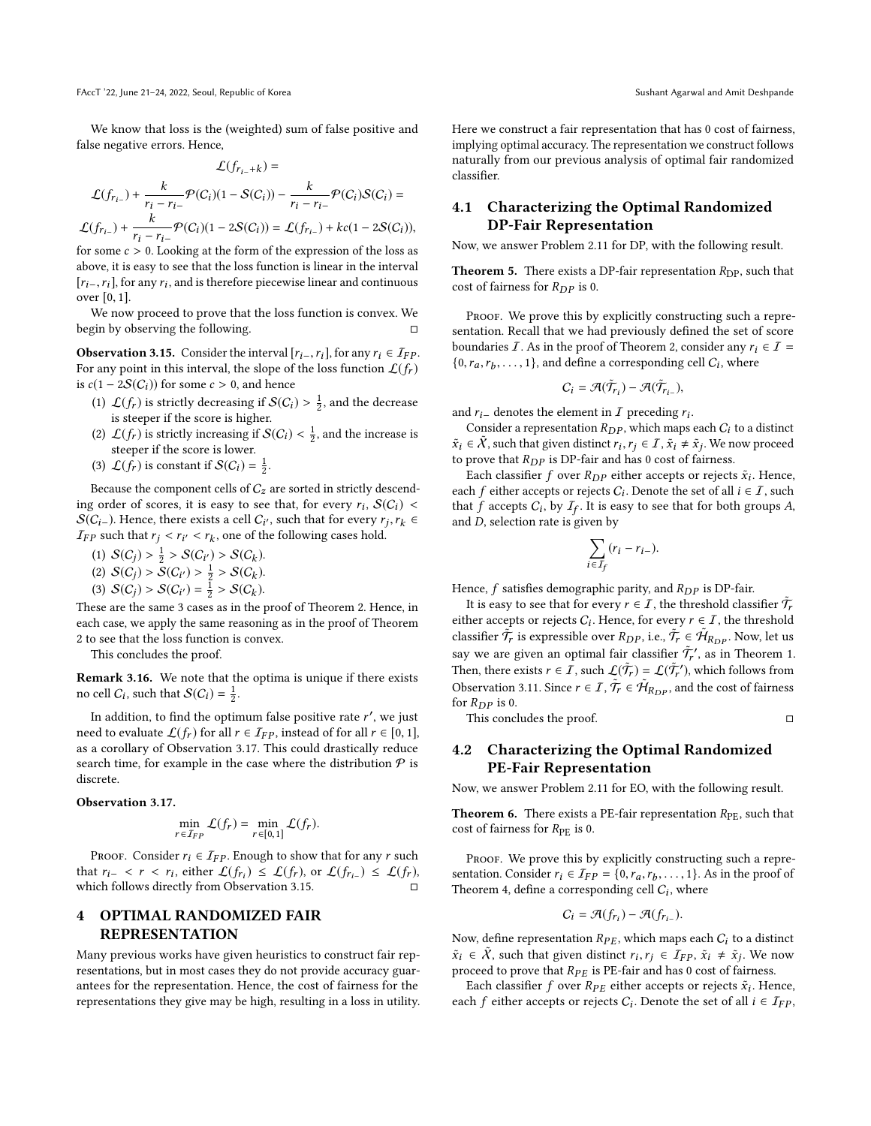We know that loss is the (weighted) sum of false positive and false negative errors. Hence,

$$
\mathcal{L}(f_{r_i-k}) =
$$
\n
$$
\mathcal{L}(f_{r_i-}) + \frac{k}{r_i - r_{i-}} \mathcal{P}(C_i)(1 - S(C_i)) - \frac{k}{r_i - r_{i-}} \mathcal{P}(C_i)S(C_i) =
$$
\n
$$
\mathcal{L}(f_{r_{i-}}) + \frac{k}{r_i - r_{i-}} \mathcal{P}(C_i)(1 - 2S(C_i)) = \mathcal{L}(f_{r_{i-}}) + kc(1 - 2S(C_i)),
$$
\nfor some  $c > 0$ . Looking at the form of the expression of the loss as

for some  $c > 0$ . Looking at the form of the expression of the loss as<br>above it is easy to see that the loss function is linear in the interval above, it is easy to see that the loss function is linear in the interval  $[r_{i-}, r_i]$ , for any  $r_i$ , and is therefore piecewise linear and continuous over  $[0, 1]$ over [0, <sup>1</sup>].

We now proceed to prove that the loss function is convex. We begin by observing the following.

<span id="page-7-2"></span>**Observation 3.15.** Consider the interval  $[r_{i-},r_i]$ , for any  $r_i \in \mathcal{I}_{FP}$ . For any point in this interval, the slope of the loss function  $\mathcal{L}(f_r)$ is  $c(1 - 2S(C_i))$  for some  $c > 0$ , and hence

- (1)  $\mathcal{L}(f_r)$  is strictly decreasing if  $\mathcal{S}(C_i) > \frac{1}{2}$ , and the decrease is steeper if the score is higher.
- (2)  $\mathcal{L}(f_r)$  is strictly increasing if  $\mathcal{S}(C_i) < \frac{1}{2}$ , and the increase is steeper if the score is lower. steeper if the score is lower.
- (3)  $\mathcal{L}(f_r)$  is constant if  $\mathcal{S}(C_i) = \frac{1}{2}$ .

Because the component cells of  $C_z$  are sorted in strictly descending order of scores, it is easy to see that, for every  $r_i$ ,  $S(C_i) < S(C_i)$ . Hence there exists a call  $C_i$ , such that for every  $r_i$ ,  $r_i \in$  $S(C_i)$ . Hence, there exists a cell  $C_i'$ , such that for every  $r_j, r_k \in$ <br>*Trp* such that  $r_i \leq r_i \leq r_i$ , one of the following cases hold  $I_{FP}$  such that  $r_j < r_{i'} < r_k$ , one of the following cases hold.

- (1)  $S(C_j) > \frac{1}{2} > S(C_{i'}) > S(C_k)$ .<br>(2)  $S(C_i) > S(C_{i'}) > 1 > S(C_k)$ .
- (2)  $S(C_j) > S(C_{i'}) > \frac{1}{2} > S(C_k)$ .<br>(2)  $S(C_i) > S(C_i) 1 > S(C_k)$ .
- (3)  $S(C_j) > S(C_{i'}) = \frac{1}{2} > S(C_k)$ .

These are the same 3 cases as in the proof of Theorem [2.](#page-5-1) Hence, in each case, we apply the same reasoning as in the proof of Theorem [2](#page-5-1) to see that the loss function is convex.

This concludes the proof.

Remark 3.16. We note that the optima is unique if there exists no cell  $C_i$ , such that  $\mathcal{S}(C_i) = \frac{1}{2}$ .

In addition, to find the optimum false positive rate r', we just<br>ed to evaluate  $f(f)$  for all  $r \in \text{Im}$  instead of for all  $r \in [0, 1]$ need to evaluate  $\mathcal{L}(f_r)$  for all  $r \in \mathcal{I}_{FP}$ , instead of for all  $r \in [0, 1]$ , as a corollary of Observation [3.17.](#page-7-1) This could drastically reduce search time, for example in the case where the distribution  $P$  is discrete.

#### <span id="page-7-1"></span>Observation 3.17.

$$
\min_{r \in I_{FP}} \mathcal{L}(f_r) = \min_{r \in [0,1]} \mathcal{L}(f_r).
$$

PROOF. Consider  $r_i \in \mathcal{I}_{FP}$ . Enough to show that for any r such that  $r_{i-} < r < r_i$ , either  $\mathcal{L}(f_{r_i}) \leq \mathcal{L}(f_r)$ , or  $\mathcal{L}(f_{r_{i-}}) \leq \mathcal{L}(f_r)$ , which follows directly from Observation 3.15 which follows directly from Observation [3.15.](#page-7-2)  $□$ 

# <span id="page-7-0"></span>4 OPTIMAL RANDOMIZED FAIR REPRESENTATION

Many previous works have given heuristics to construct fair representations, but in most cases they do not provide accuracy guarantees for the representation. Hence, the cost of fairness for the representations they give may be high, resulting in a loss in utility.

Here we construct a fair representation that has 0 cost of fairness, implying optimal accuracy. The representation we construct follows naturally from our previous analysis of optimal fair randomized classifier.

### 4.1 Characterizing the Optimal Randomized DP-Fair Representation

Now, we answer Problem [2.11](#page-4-4) for DP, with the following result.

**Theorem 5.** There exists a DP-fair representation  $R_{\text{DP}}$ , such that cost of fairness for  $R_{DP}$  is 0.

PROOF. We prove this by explicitly constructing such a representation. Recall that we had previously defined the set of score boundaries *I*. As in the proof of Theorem [2,](#page-5-1) consider any  $r_i \in I$  =  $\{0, r_a, r_b, \ldots, 1\}$ , and define a corresponding cell  $C_i$ , where

$$
C_i = \mathcal{A}(\tilde{\mathcal{T}}_{r_i}) - \mathcal{A}(\tilde{\mathcal{T}}_{r_{i-}}),
$$

and  $r_i$ – denotes the element in  $\overline{I}$  preceding  $r_i$ .<br>Consider a representation  $R_{\text{DD}}$  which maps

Consider a representation  $R_{DP}$ , which maps each  $C_i$  to a distinct  $\tilde{x}_i \in \tilde{X}$ , such that given distinct  $r_i, r_j \in \tilde{I}, \tilde{x}_i \neq \tilde{x}_j$ . We now proceed to prove that  $R_{\text{DD}}$  is DR-foir and has 0 cost of fairness to prove that  $R_{DP}$  is DP-fair and has 0 cost of fairness.

Each classifier  $f$  over  $R_{DP}$  either accepts or rejects  $\tilde{x}_i$ . Hence,<br>the f either accepts or rejects  $C_i$ . Denote the set of all  $i \in \mathcal{I}$  such each f either accepts or rejects  $C_i$ . Denote the set of all  $i \in I$ , such that f accepts  $C_i$ , by  $I_{\alpha}$ . It is easy to see that for both groups A that f accepts  $C_i$ , by  $I_f$ . It is easy to see that for both groups A, and D, selection rate is given by

$$
\sum_{i \in I_f} (r_i - r_{i-}).
$$

Hence, f satisfies demographic parity, and  $R_{DP}$  is DP-fair.

It is easy to see that for every  $r \in I$ , the threshold classifier  $\tilde{T}_t$  has a cocent or rejects C. Hence for every  $r \in I$ , the threshold either accepts or rejects  $C_i$ . Hence, for every  $r \in I$ , the threshold<br>closeifier  $\tilde{T}$  is approachly star  $R_{\tilde{T}} = \tilde{q}$ ,  $\tilde{T} \in \tilde{q}$ , Name later classifier  $\hat{\mathcal{T}}_r$  is expressible over  $R_{DP}$ , i.e.,  $\hat{\mathcal{T}}_r \in \hat{\mathcal{H}}_{R_{DP}}$ . Now, let us say we are given an optimal fair classifier  $\tilde{\mathcal{T}}_r$ , as in Theorem [1.](#page-4-3) Then, there exists  $r \in I$ , such  $\mathcal{L}(\tilde{\mathcal{T}}_r) = \mathcal{L}(\tilde{\mathcal{T}}_r')$ , which follows from<br>Observation 2.11. Since  $r \in I$ ,  $\tilde{\mathcal{T}} \in \tilde{\mathcal{U}}_r$ , and the sect of follows Observation [3.11.](#page-6-0) Since  $r \in \overline{I}$ ,  $\overline{\tilde{T}_r} \in \tilde{\mathcal{H}}_{R_{DP}}$ , and the cost of fairness for  $R_{DP}$  is 0. for  $R_{DP}$  is 0.

This concludes the proof. □

### 4.2 Characterizing the Optimal Randomized PE-Fair Representation

Now, we answer Problem [2.11](#page-4-4) for EO, with the following result.

**Theorem 6.** There exists a PE-fair representation  $R_{PE}$ , such that cost of fairness for  $R_{PE}$  is 0.

PROOF. We prove this by explicitly constructing such a representation. Consider  $r_i \in I_{FP} = \{0, r_a, r_b, \ldots, 1\}$ . As in the proof of Theorem 4, define a corresponding cell  $C$ , where Theorem [4,](#page-6-3) define a corresponding cell  $C_i$ , where

$$
C_i = \mathcal{A}(f_{r_i}) - \mathcal{A}(f_{r_{i-}}).
$$

Now, define representation  $R_{PE}$ , which maps each  $C_i$  to a distinct  $\tilde{x}_i \in \tilde{X}$ , such that given distinct  $r_i, r_j \in \mathcal{I}_{FP}$ ,  $\tilde{x}_i \neq \tilde{x}_j$ . We now proceed to prove that  $R_{PE}$  is PE-fair and has 0 cost of fairness.

Each classifier f over  $R_{PE}$  either accepts or rejects  $\tilde{x}_i$ . Hence,<br>the f either accepts or rejects  $C_i$ . Denote the set of all  $i \in I_{ED}$ each f either accepts or rejects  $C_i$ . Denote the set of all  $i \in I_{FP}$ ,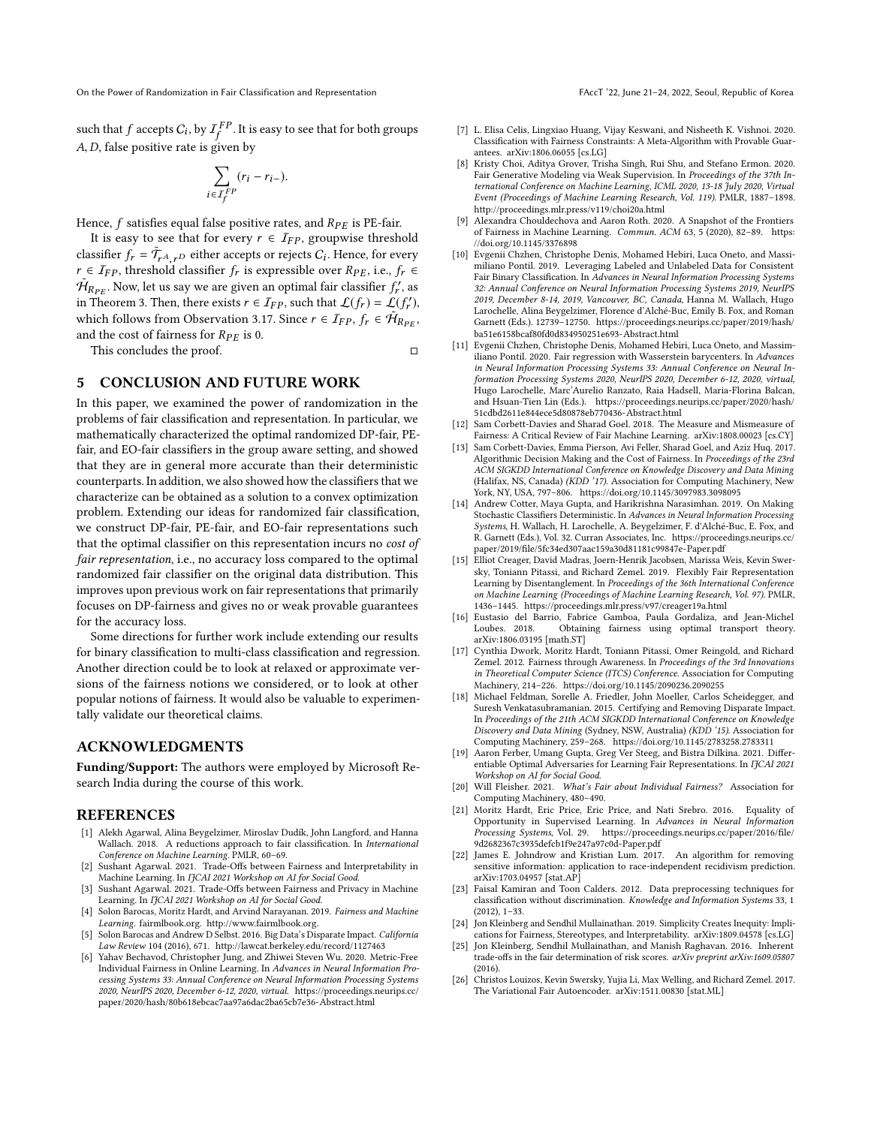such that  $f$  accepts  $C_i$ , by  $I_f^{FP}$ . It is easy to see that for both groups A,D, false positive rate is given by

$$
\sum_{i \in \mathcal{I}_f^{FP}} (r_i - r_{i-}).
$$

Hence,  $f$  satisfies equal false positive rates, and  $R_{PE}$  is PE-fair.

It is easy to see that for every  $r \in \mathcal{I}_{FP}$ , groupwise threshold classifier  $f_r = \tilde{T}_{rA,rD}$  either accepts or rejects  $C_i$ . Hence, for every<br> $r \in T_{FB}$ , threshold classifier  $f_r$ , is expressible over  $R_{BF}$  i.e.,  $f_r \in T_{FB}$  $r \in I_{FP}$ , threshold classifier  $f_r$  is expressible over  $R_{PE}$ , i.e.,  $f_r$  ∈  $\hat{H}_{R_{PE}}$ . Now, let us say we are given an optimal fair classifier  $f'_r$ , as in Theorem 3. Then there exists  $r \in T_{\text{TR}}$  such that  $f(f) = f(f')$ in Theorem [3.](#page-6-2) Then, there exists  $r \in T_{FP}$ , such that  $\mathcal{L}(f_r) = \mathcal{L}(f'_r)$ , which follows from Observation 2.17. Since  $r \in \mathcal{T}$ ,  $f_i \in \tilde{\mathcal{U}}$ which follows from Observation [3.17.](#page-7-1) Since  $r \in \mathcal{I}_{FP}$ ,  $f_r \in \mathcal{H}_{R_{PF}}$ , and the cost of fairness for  $R_{PE}$  is 0.

This concludes the proof. □

### <span id="page-8-18"></span>5 CONCLUSION AND FUTURE WORK

In this paper, we examined the power of randomization in the problems of fair classification and representation. In particular, we mathematically characterized the optimal randomized DP-fair, PEfair, and EO-fair classifiers in the group aware setting, and showed that they are in general more accurate than their deterministic counterparts. In addition, we also showed how the classifiers that we characterize can be obtained as a solution to a convex optimization problem. Extending our ideas for randomized fair classification, we construct DP-fair, PE-fair, and EO-fair representations such that the optimal classifier on this representation incurs no cost of fair representation, i.e., no accuracy loss compared to the optimal randomized fair classifier on the original data distribution. This improves upon previous work on fair representations that primarily focuses on DP-fairness and gives no or weak provable guarantees for the accuracy loss.

Some directions for further work include extending our results for binary classification to multi-class classification and regression. Another direction could be to look at relaxed or approximate versions of the fairness notions we considered, or to look at other popular notions of fairness. It would also be valuable to experimentally validate our theoretical claims.

### ACKNOWLEDGMENTS

Funding/Support: The authors were employed by Microsoft Research India during the course of this work.

#### REFERENCES

- <span id="page-8-13"></span>[1] Alekh Agarwal, Alina Beygelzimer, Miroslav Dudík, John Langford, and Hanna Wallach. 2018. A reductions approach to fair classification. In International Conference on Machine Learning. PMLR, 60–69.
- <span id="page-8-8"></span>[2] Sushant Agarwal. 2021. Trade-Offs between Fairness and Interpretability in Machine Learning. In IJCAI 2021 Workshop on AI for Social Good.
- <span id="page-8-9"></span>[3] Sushant Agarwal. 2021. Trade-Offs between Fairness and Privacy in Machine Learning. In IJCAI 2021 Workshop on AI for Social Good.
- <span id="page-8-0"></span>[4] Solon Barocas, Moritz Hardt, and Arvind Narayanan. 2019. Fairness and Machine Learning. fairmlbook.org. [http://www.fairmlbook.org.](http://www.fairmlbook.org)
- <span id="page-8-1"></span>[5] Solon Barocas and Andrew D Selbst. 2016. Big Data's Disparate Impact. California Law Review 104 (2016), 671.<http://lawcat.berkeley.edu/record/1127463>
- <span id="page-8-3"></span>[6] Yahav Bechavod, Christopher Jung, and Zhiwei Steven Wu. 2020. Metric-Free Individual Fairness in Online Learning. In Advances in Neural Information Processing Systems 33: Annual Conference on Neural Information Processing Systems 2020, NeurIPS 2020, December 6-12, 2020, virtual. [https://proceedings.neurips.cc/](https://proceedings.neurips.cc/paper/2020/hash/80b618ebcac7aa97a6dac2ba65cb7e36-Abstract.html) [paper/2020/hash/80b618ebcac7aa97a6dac2ba65cb7e36-Abstract.html](https://proceedings.neurips.cc/paper/2020/hash/80b618ebcac7aa97a6dac2ba65cb7e36-Abstract.html)
- <span id="page-8-10"></span>[7] L. Elisa Celis, Lingxiao Huang, Vijay Keswani, and Nisheeth K. Vishnoi. 2020. Classification with Fairness Constraints: A Meta-Algorithm with Provable Guarantees. arXiv[:1806.06055](https://arxiv.org/abs/1806.06055) [cs.LG]
- <span id="page-8-15"></span>[8] Kristy Choi, Aditya Grover, Trisha Singh, Rui Shu, and Stefano Ermon. 2020. Fair Generative Modeling via Weak Supervision. In Proceedings of the 37th International Conference on Machine Learning, ICML 2020, 13-18 July 2020, Virtual Event (Proceedings of Machine Learning Research, Vol. 119). PMLR, 1887–1898. <http://proceedings.mlr.press/v119/choi20a.html>
- <span id="page-8-2"></span>Alexandra Chouldechova and Aaron Roth. 2020. A Snapshot of the Frontiers of Fairness in Machine Learning. Commun. ACM 63, 5 (2020), 82–89. [https:](https://doi.org/10.1145/3376898) [//doi.org/10.1145/3376898](https://doi.org/10.1145/3376898)
- <span id="page-8-11"></span>[10] Evgenii Chzhen, Christophe Denis, Mohamed Hebiri, Luca Oneto, and Massimiliano Pontil. 2019. Leveraging Labeled and Unlabeled Data for Consistent Fair Binary Classification. In Advances in Neural Information Processing Systems 32: Annual Conference on Neural Information Processing Systems 2019, NeurIPS 2019, December 8-14, 2019, Vancouver, BC, Canada, Hanna M. Wallach, Hugo Larochelle, Alina Beygelzimer, Florence d'Alché-Buc, Emily B. Fox, and Roman Garnett (Eds.). 12739–12750. [https://proceedings.neurips.cc/paper/2019/hash/](https://proceedings.neurips.cc/paper/2019/hash/ba51e6158bcaf80fd0d834950251e693-Abstract.html) [ba51e6158bcaf80fd0d834950251e693-Abstract.html](https://proceedings.neurips.cc/paper/2019/hash/ba51e6158bcaf80fd0d834950251e693-Abstract.html)
- <span id="page-8-20"></span>[11] Evgenii Chzhen, Christophe Denis, Mohamed Hebiri, Luca Oneto, and Massimiliano Pontil. 2020. Fair regression with Wasserstein barycenters. In Advances in Neural Information Processing Systems 33: Annual Conference on Neural Information Processing Systems 2020, NeurIPS 2020, December 6-12, 2020, virtual, Hugo Larochelle, Marc'Aurelio Ranzato, Raia Hadsell, Maria-Florina Balcan, and Hsuan-Tien Lin (Eds.). [https://proceedings.neurips.cc/paper/2020/hash/](https://proceedings.neurips.cc/paper/2020/hash/51cdbd2611e844ece5d80878eb770436-Abstract.html) [51cdbd2611e844ece5d80878eb770436-Abstract.html](https://proceedings.neurips.cc/paper/2020/hash/51cdbd2611e844ece5d80878eb770436-Abstract.html)
- <span id="page-8-12"></span>[12] Sam Corbett-Davies and Sharad Goel. 2018. The Measure and Mismeasure of Fairness: A Critical Review of Fair Machine Learning. arXiv[:1808.00023](https://arxiv.org/abs/1808.00023) [cs.CY]
- <span id="page-8-19"></span>[13] Sam Corbett-Davies, Emma Pierson, Avi Feller, Sharad Goel, and Aziz Huq. 2017. Algorithmic Decision Making and the Cost of Fairness. In Proceedings of the 23rd ACM SIGKDD International Conference on Knowledge Discovery and Data Mining (Halifax, NS, Canada) (KDD '17). Association for Computing Machinery, New York, NY, USA, 797-806.<https://doi.org/10.1145/3097983.3098095>
- <span id="page-8-25"></span>[14] Andrew Cotter, Maya Gupta, and Harikrishna Narasimhan. 2019. On Making Stochastic Classifiers Deterministic. In Advances in Neural Information Processing Systems, H. Wallach, H. Larochelle, A. Beygelzimer, F. d'Alché-Buc, E. Fox, and R. Garnett (Eds.), Vol. 32. Curran Associates, Inc. [https://proceedings.neurips.cc/](https://proceedings.neurips.cc/paper/2019/file/5fc34ed307aac159a30d81181c99847e-Paper.pdf) [paper/2019/file/5fc34ed307aac159a30d81181c99847e-Paper.pdf](https://proceedings.neurips.cc/paper/2019/file/5fc34ed307aac159a30d81181c99847e-Paper.pdf) [15] Elliot Creager, David Madras, Joern-Henrik Jacobsen, Marissa Weis, Kevin Swer-
- <span id="page-8-16"></span>sky, Toniann Pitassi, and Richard Zemel. 2019. Flexibly Fair Representation Learning by Disentanglement. In Proceedings of the 36th International Conference on Machine Learning (Proceedings of Machine Learning Research, Vol. 97). PMLR, 1436–1445.<https://proceedings.mlr.press/v97/creager19a.html>
- <span id="page-8-21"></span>[16] Eustasio del Barrio, Fabrice Gamboa, Paula Gordaliza, and Jean-Michel Loubes. 2018. Obtaining fairness using optimal transport theory. arXiv[:1806.03195](https://arxiv.org/abs/1806.03195) [math.ST]
- <span id="page-8-4"></span>[17] Cynthia Dwork, Moritz Hardt, Toniann Pitassi, Omer Reingold, and Richard Zemel. 2012. Fairness through Awareness. In Proceedings of the 3rd Innovations in Theoretical Computer Science (ITCS) Conference. Association for Computing Machinery, 214–226.<https://doi.org/10.1145/2090236.2090255>
- <span id="page-8-22"></span>[18] Michael Feldman, Sorelle A. Friedler, John Moeller, Carlos Scheidegger, and Suresh Venkatasubramanian. 2015. Certifying and Removing Disparate Impact. In Proceedings of the 21th ACM SIGKDD International Conference on Knowledge Discovery and Data Mining (Sydney, NSW, Australia) (KDD '15). Association for Computing Machinery, 259–268.<https://doi.org/10.1145/2783258.2783311>
- <span id="page-8-17"></span>[19] Aaron Ferber, Umang Gupta, Greg Ver Steeg, and Bistra Dilkina. 2021. Differentiable Optimal Adversaries for Learning Fair Representations. In IJCAI 2021 Workshop on AI for Social Good.
- <span id="page-8-5"></span>[20] Will Fleisher. 2021. What's Fair about Individual Fairness? Association for Computing Machinery, 480–490.
- <span id="page-8-6"></span>[21] Moritz Hardt, Eric Price, Eric Price, and Nati Srebro. 2016. Equality of Opportunity in Supervised Learning. In Advances in Neural Information Processing Systems, Vol. 29. [https://proceedings.neurips.cc/paper/2016/file/](https://proceedings.neurips.cc/paper/2016/file/9d2682367c3935defcb1f9e247a97c0d-Paper.pdf) [9d2682367c3935defcb1f9e247a97c0d-Paper.pdf](https://proceedings.neurips.cc/paper/2016/file/9d2682367c3935defcb1f9e247a97c0d-Paper.pdf)
- <span id="page-8-23"></span>[22] James E. Johndrow and Kristian Lum. 2017. An algorithm for removing sensitive information: application to race-independent recidivism prediction. arXiv[:1703.04957](https://arxiv.org/abs/1703.04957) [stat.AP]
- <span id="page-8-14"></span>[23] Faisal Kamiran and Toon Calders. 2012. Data preprocessing techniques for classification without discrimination. Knowledge and Information Systems 33, 1 (2012), 1–33.
- <span id="page-8-26"></span>[24] Jon Kleinberg and Sendhil Mullainathan. 2019. Simplicity Creates Inequity: Implications for Fairness, Stereotypes, and Interpretability. arXiv[:1809.04578](https://arxiv.org/abs/1809.04578) [cs.LG]
- <span id="page-8-7"></span>[25] Jon Kleinberg, Sendhil Mullainathan, and Manish Raghavan. 2016. Inherent trade-offs in the fair determination of risk scores. arXiv preprint arXiv:1609.05807 (2016).
- <span id="page-8-24"></span>[26] Christos Louizos, Kevin Swersky, Yujia Li, Max Welling, and Richard Zemel. 2017. The Variational Fair Autoencoder. arXiv[:1511.00830](https://arxiv.org/abs/1511.00830) [stat.ML]